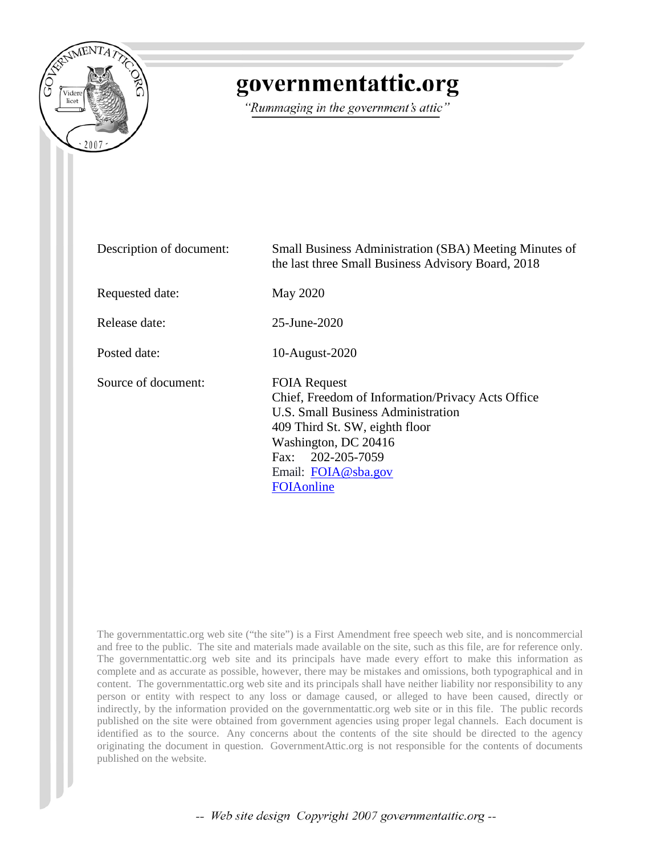

# governmentattic.org

"Rummaging in the government's attic"

| Description of document: | <b>Small Business Administration (SBA) Meeting Minutes of</b><br>the last three Small Business Advisory Board, 2018                                                                                                                        |
|--------------------------|--------------------------------------------------------------------------------------------------------------------------------------------------------------------------------------------------------------------------------------------|
| Requested date:          | May 2020                                                                                                                                                                                                                                   |
| Release date:            | 25-June-2020                                                                                                                                                                                                                               |
| Posted date:             | 10-August-2020                                                                                                                                                                                                                             |
| Source of document:      | <b>FOIA Request</b><br>Chief, Freedom of Information/Privacy Acts Office<br>U.S. Small Business Administration<br>409 Third St. SW, eighth floor<br>Washington, DC 20416<br>Fax: 202-205-7059<br>Email: FOIA@sba.gov<br><b>FOIA</b> online |

The governmentattic.org web site ("the site") is a First Amendment free speech web site, and is noncommercial and free to the public. The site and materials made available on the site, such as this file, are for reference only. The governmentattic.org web site and its principals have made every effort to make this information as complete and as accurate as possible, however, there may be mistakes and omissions, both typographical and in content. The governmentattic.org web site and its principals shall have neither liability nor responsibility to any person or entity with respect to any loss or damage caused, or alleged to have been caused, directly or indirectly, by the information provided on the governmentattic.org web site or in this file. The public records published on the site were obtained from government agencies using proper legal channels. Each document is identified as to the source. Any concerns about the contents of the site should be directed to the agency originating the document in question. GovernmentAttic.org is not responsible for the contents of documents published on the website.

-- Web site design Copyright 2007 governmentattic.org --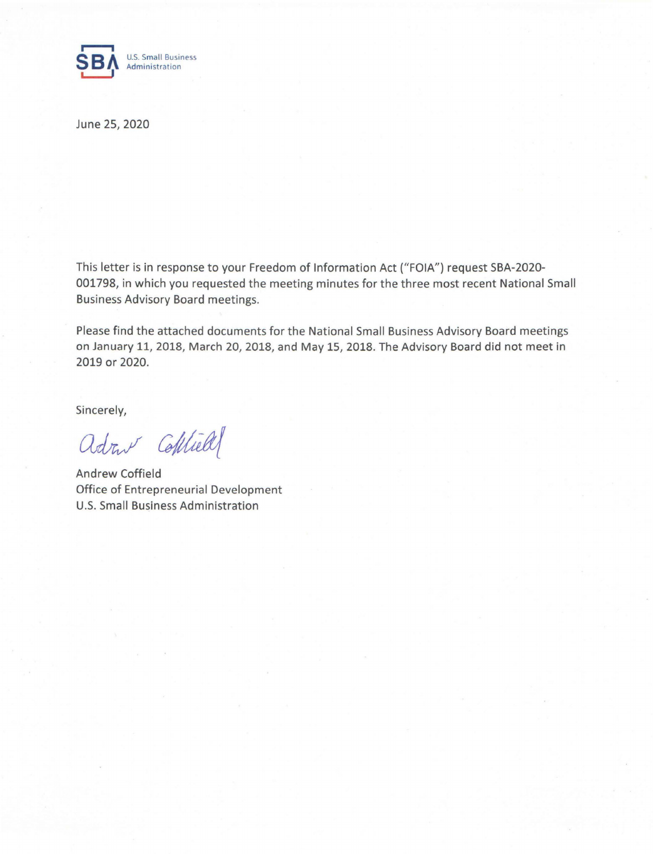

June 25, 2020

This letter is in response to your Freedom of Information Act ("FOIA") request SBA-2020- 001798, in which you requested the meeting minutes for the three most recent National Small Business Advisory Board meetings.

Please find the attached documents for the National Small Business Advisory Board meetings on January 11, 2018, March 20, 2018, and May 15, 2018. The Advisory Board did not meet in 2019 or 2020.

Sincerely,

adout Colliell

Andrew Coffield Office of Entrepreneurial Development U.S. Small Business Administration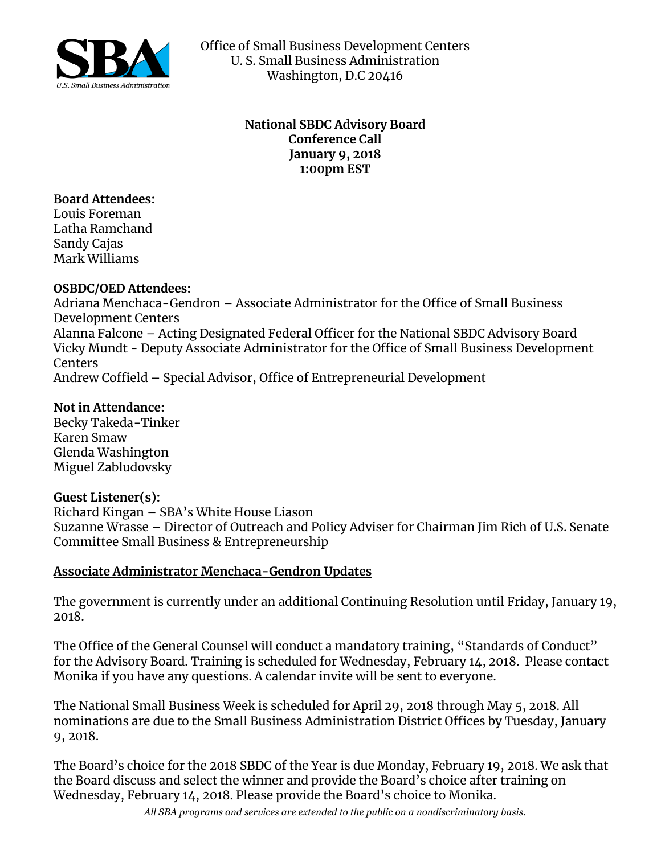

Office of Small Business Development Centers U. S. Small Business Administration Washington, D.C 20416

## **National SBDC Advisory Board Conference Call January 9, 2018 1:00pm EST**

**Board Attendees:** Louis Foreman Latha Ramchand Sandy Cajas Mark Williams

### **OSBDC/OED Attendees:**

Adriana Menchaca-Gendron – Associate Administrator for the Office of Small Business Development Centers Alanna Falcone – Acting Designated Federal Officer for the National SBDC Advisory Board Vicky Mundt - Deputy Associate Administrator for the Office of Small Business Development Centers Andrew Coffield – Special Advisor, Office of Entrepreneurial Development

**Not in Attendance:** 

Becky Takeda-Tinker Karen Smaw Glenda Washington Miguel Zabludovsky

# **Guest Listener(s):**

Richard Kingan – SBA's White House Liason Suzanne Wrasse – Director of Outreach and Policy Adviser for Chairman Jim Rich of U.S. Senate Committee Small Business & Entrepreneurship

# **Associate Administrator Menchaca-Gendron Updates**

The government is currently under an additional Continuing Resolution until Friday, January 19, 2018.

The Office of the General Counsel will conduct a mandatory training, "Standards of Conduct" for the Advisory Board. Training is scheduled for Wednesday, February 14, 2018. Please contact Monika if you have any questions. A calendar invite will be sent to everyone.

The National Small Business Week is scheduled for April 29, 2018 through May 5, 2018. All nominations are due to the Small Business Administration District Offices by Tuesday, January 9, 2018.

The Board's choice for the 2018 SBDC of the Year is due Monday, February 19, 2018. We ask that the Board discuss and select the winner and provide the Board's choice after training on Wednesday, February 14, 2018. Please provide the Board's choice to Monika.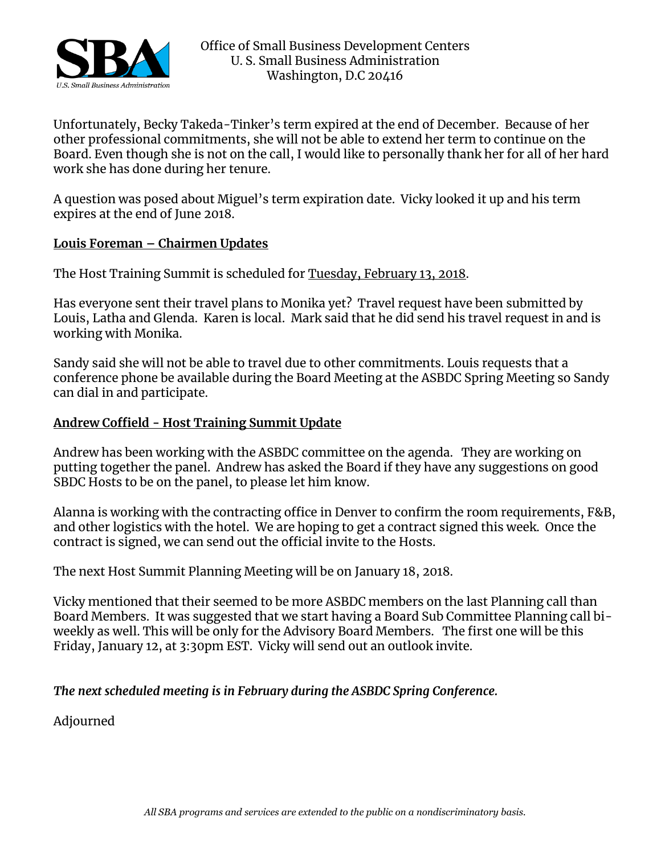

Unfortunately, Becky Takeda-Tinker's term expired at the end of December. Because of her other professional commitments, she will not be able to extend her term to continue on the Board. Even though she is not on the call, I would like to personally thank her for all of her hard work she has done during her tenure.

A question was posed about Miguel's term expiration date. Vicky looked it up and his term expires at the end of June 2018.

### **Louis Foreman – Chairmen Updates**

The Host Training Summit is scheduled for Tuesday, February 13, 2018.

Has everyone sent their travel plans to Monika yet? Travel request have been submitted by Louis, Latha and Glenda. Karen is local. Mark said that he did send his travel request in and is working with Monika.

Sandy said she will not be able to travel due to other commitments. Louis requests that a conference phone be available during the Board Meeting at the ASBDC Spring Meeting so Sandy can dial in and participate.

## **Andrew Coffield - Host Training Summit Update**

Andrew has been working with the ASBDC committee on the agenda. They are working on putting together the panel. Andrew has asked the Board if they have any suggestions on good SBDC Hosts to be on the panel, to please let him know.

Alanna is working with the contracting office in Denver to confirm the room requirements, F&B, and other logistics with the hotel. We are hoping to get a contract signed this week. Once the contract is signed, we can send out the official invite to the Hosts.

The next Host Summit Planning Meeting will be on January 18, 2018.

Vicky mentioned that their seemed to be more ASBDC members on the last Planning call than Board Members. It was suggested that we start having a Board Sub Committee Planning call biweekly as well. This will be only for the Advisory Board Members. The first one will be this Friday, January 12, at 3:30pm EST. Vicky will send out an outlook invite.

# *The next scheduled meeting is in February during the ASBDC Spring Conference.*

Adjourned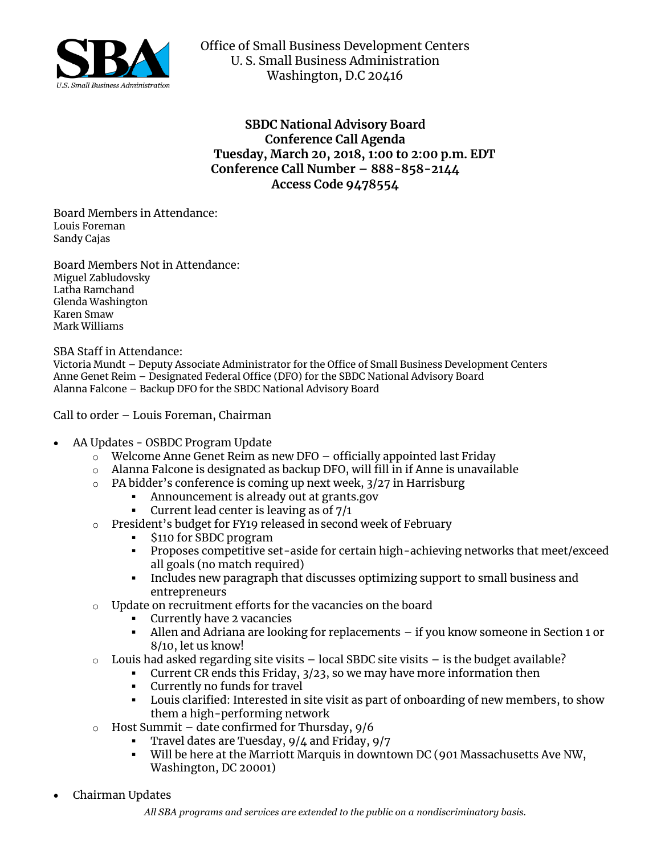

Office of Small Business Development Centers U. S. Small Business Administration Washington, D.C 20416

**SBDC National Advisory Board Conference Call Agenda Tuesday, March 20, 2018, 1:00 to 2:00 p.m. EDT Conference Call Number – 888-858-2144 Access Code 9478554**

Board Members in Attendance: Louis Foreman Sandy Cajas

Board Members Not in Attendance: Miguel Zabludovsky Latha Ramchand Glenda Washington Karen Smaw Mark Williams

SBA Staff in Attendance:

Victoria Mundt – Deputy Associate Administrator for the Office of Small Business Development Centers Anne Genet Reim – Designated Federal Office (DFO) for the SBDC National Advisory Board Alanna Falcone – Backup DFO for the SBDC National Advisory Board

Call to order – Louis Foreman, Chairman

- AA Updates OSBDC Program Update
	- o Welcome Anne Genet Reim as new DFO officially appointed last Friday
	- $\circ$  Alanna Falcone is designated as backup DFO, will fill in if Anne is unavailable
	- o PA bidder's conference is coming up next week, 3/27 in Harrisburg
		- **Announcement is already out at grants.gov**
		- **•** Current lead center is leaving as of  $7/1$
	- o President's budget for FY19 released in second week of February
		- \$110 for SBDC program
		- **Proposes competitive set-aside for certain high-achieving networks that meet/exceed** all goals (no match required)
		- Includes new paragraph that discusses optimizing support to small business and entrepreneurs
	- o Update on recruitment efforts for the vacancies on the board
		- Currently have 2 vacancies
		- Allen and Adriana are looking for replacements if you know someone in Section 1 or 8/10, let us know!
	- $\circ$  Louis had asked regarding site visits local SBDC site visits is the budget available?
		- Current CR ends this Friday, 3/23, so we may have more information then
		- Currently no funds for travel
		- **·** Louis clarified: Interested in site visit as part of onboarding of new members, to show them a high-performing network
	- $\circ$  Host Summit date confirmed for Thursday, 9/6
		- Travel dates are Tuesday, 9/4 and Friday, 9/7
			- Will be here at the Marriott Marquis in downtown DC (901 Massachusetts Ave NW, Washington, DC 20001)
- Chairman Updates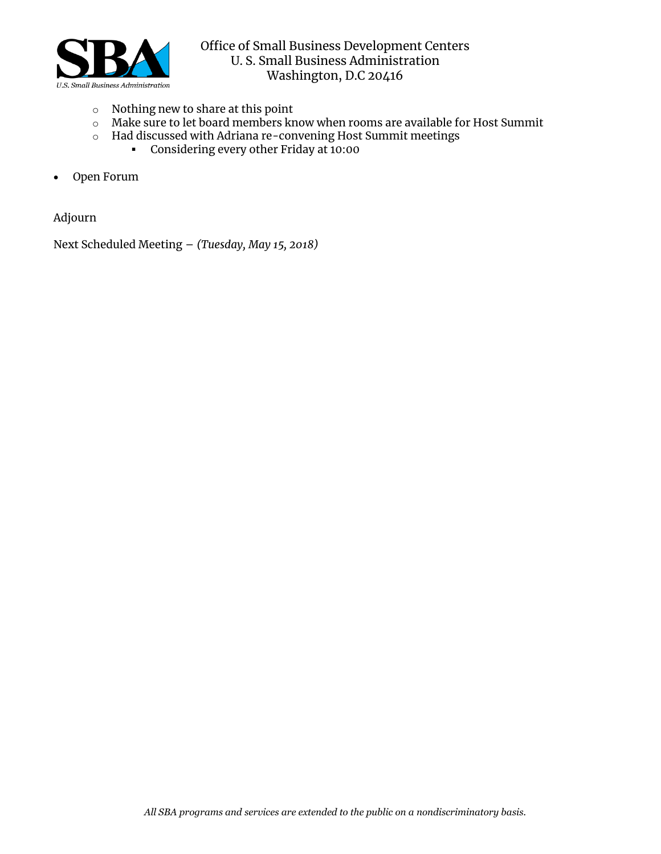

- o Nothing new to share at this point
- o Make sure to let board members know when rooms are available for Host Summit
- o Had discussed with Adriana re-convening Host Summit meetings
	- Considering every other Friday at 10:00
- Open Forum

Adjourn

Next Scheduled Meeting – *(Tuesday, May 15, 2018)*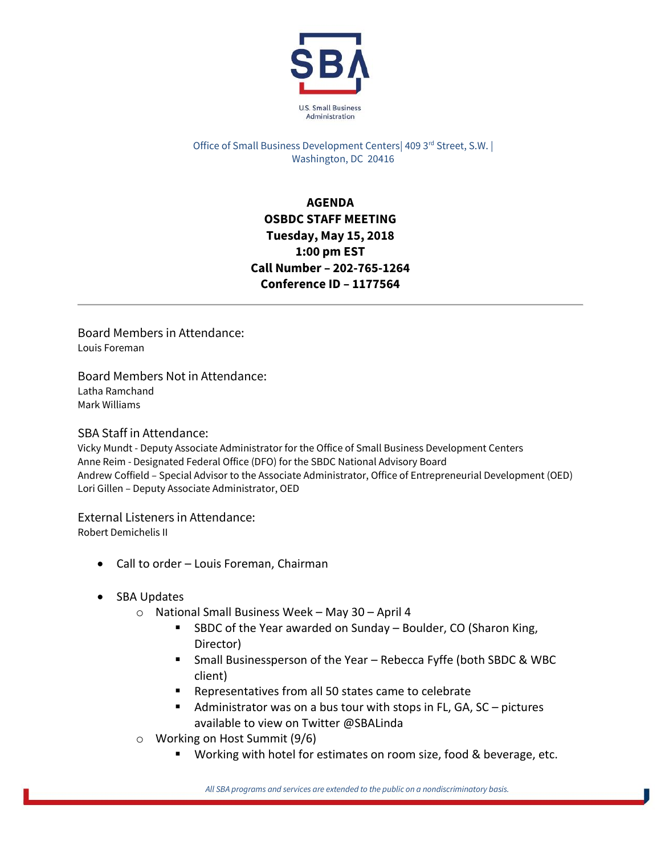

Office of Small Business Development Centers| 409 3rd Street, S.W. | Washington, DC 20416

# **AGENDA OSBDC STAFF MEETING Tuesday, May 15, 2018 1:00 pm EST Call Number – 202-765-1264 Conference ID – 1177564**

Board Members in Attendance: Louis Foreman

Board Members Not in Attendance: Latha Ramchand Mark Williams

#### SBA Staff in Attendance:

Vicky Mundt - Deputy Associate Administrator for the Office of Small Business Development Centers Anne Reim - Designated Federal Office (DFO) for the SBDC National Advisory Board Andrew Coffield – Special Advisor to the Associate Administrator, Office of Entrepreneurial Development (OED) Lori Gillen – Deputy Associate Administrator, OED

#### External Listeners in Attendance:

Robert Demichelis II

- Call to order Louis Foreman, Chairman
- SBA Updates
	- o National Small Business Week May 30 April 4
		- SBDC of the Year awarded on Sunday Boulder, CO (Sharon King, Director)
		- Small Businessperson of the Year Rebecca Fyffe (both SBDC & WBC client)
		- Representatives from all 50 states came to celebrate
		- Administrator was on a bus tour with stops in FL, GA,  $SC$  pictures available to view on Twitter @SBALinda
	- o Working on Host Summit (9/6)
		- Working with hotel for estimates on room size, food & beverage, etc.

*All SBA programs and services are extended to the public on a nondiscriminatory basis.*